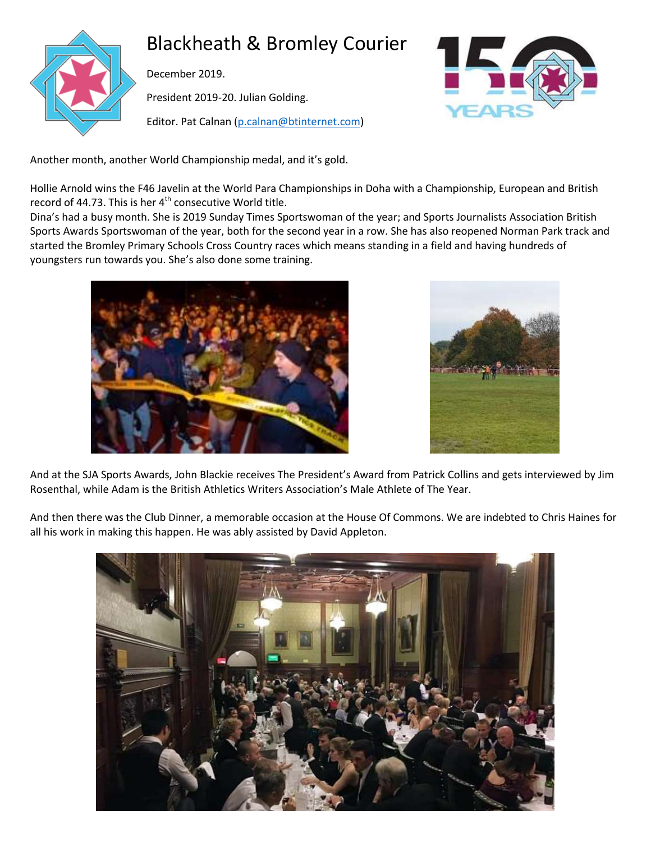

# Blackheath & Bromley Courier

December 2019.

President 2019-20. Julian Golding.

Editor. Pat Calnan [\(p.calnan@btinternet.com\)](mailto:p.calnan@btinternet.com)



Another month, another World Championship medal, and it's gold.

Hollie Arnold wins the F46 Javelin at the World Para Championships in Doha with a Championship, European and British record of 44.73. This is her  $4<sup>th</sup>$  consecutive World title.

Dina's had a busy month. She is 2019 Sunday Times Sportswoman of the year; and Sports Journalists Association British Sports Awards Sportswoman of the year, both for the second year in a row. She has also reopened Norman Park track and started the Bromley Primary Schools Cross Country races which means standing in a field and having hundreds of youngsters run towards you. She's also done some training.





And at the SJA Sports Awards, John Blackie receives The President's Award from Patrick Collins and gets interviewed by Jim Rosenthal, while Adam is the British Athletics Writers Association's Male Athlete of The Year.

And then there was the Club Dinner, a memorable occasion at the House Of Commons. We are indebted to Chris Haines for all his work in making this happen. He was ably assisted by David Appleton.

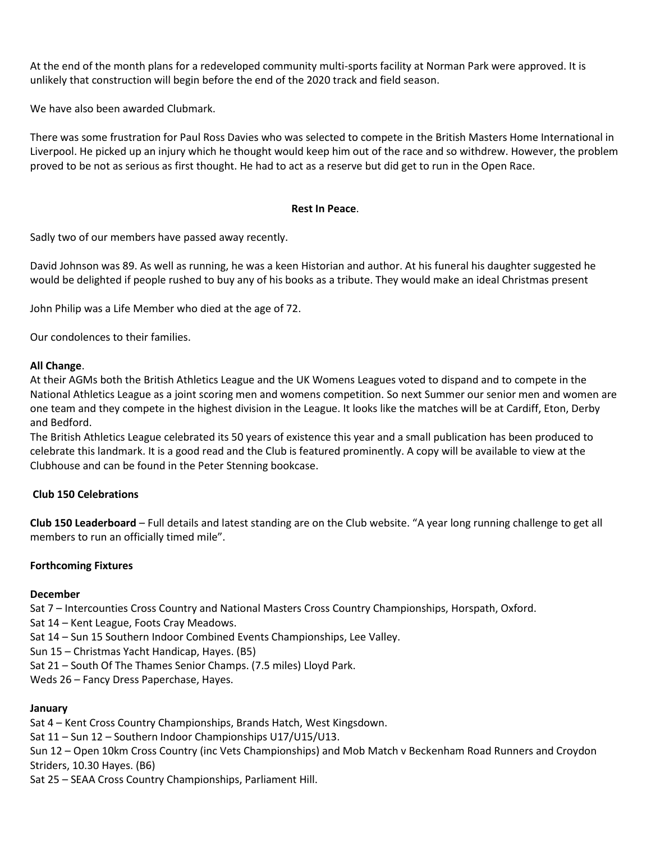At the end of the month plans for a redeveloped community multi-sports facility at Norman Park were approved. It is unlikely that construction will begin before the end of the 2020 track and field season.

We have also been awarded Clubmark.

There was some frustration for Paul Ross Davies who was selected to compete in the British Masters Home International in Liverpool. He picked up an injury which he thought would keep him out of the race and so withdrew. However, the problem proved to be not as serious as first thought. He had to act as a reserve but did get to run in the Open Race.

#### **Rest In Peace**.

Sadly two of our members have passed away recently.

David Johnson was 89. As well as running, he was a keen Historian and author. At his funeral his daughter suggested he would be delighted if people rushed to buy any of his books as a tribute. They would make an ideal Christmas present

John Philip was a Life Member who died at the age of 72.

Our condolences to their families.

#### **All Change**.

At their AGMs both the British Athletics League and the UK Womens Leagues voted to dispand and to compete in the National Athletics League as a joint scoring men and womens competition. So next Summer our senior men and women are one team and they compete in the highest division in the League. It looks like the matches will be at Cardiff, Eton, Derby and Bedford.

The British Athletics League celebrated its 50 years of existence this year and a small publication has been produced to celebrate this landmark. It is a good read and the Club is featured prominently. A copy will be available to view at the Clubhouse and can be found in the Peter Stenning bookcase.

#### **Club 150 Celebrations**

**Club 150 Leaderboard** – Full details and latest standing are on the Club website. "A year long running challenge to get all members to run an officially timed mile".

### **Forthcoming Fixtures**

#### **December**

Sat 7 – Intercounties Cross Country and National Masters Cross Country Championships, Horspath, Oxford.

Sat 14 – Kent League, Foots Cray Meadows.

Sat 14 – Sun 15 Southern Indoor Combined Events Championships, Lee Valley.

Sun 15 – Christmas Yacht Handicap, Hayes. (B5)

Sat 21 – South Of The Thames Senior Champs. (7.5 miles) Lloyd Park.

Weds 26 – Fancy Dress Paperchase, Hayes.

### **January**

Sat 4 – Kent Cross Country Championships, Brands Hatch, West Kingsdown.

Sat 11 – Sun 12 – Southern Indoor Championships U17/U15/U13.

Sun 12 – Open 10km Cross Country (inc Vets Championships) and Mob Match v Beckenham Road Runners and Croydon Striders, 10.30 Hayes. (B6)

Sat 25 – SEAA Cross Country Championships, Parliament Hill.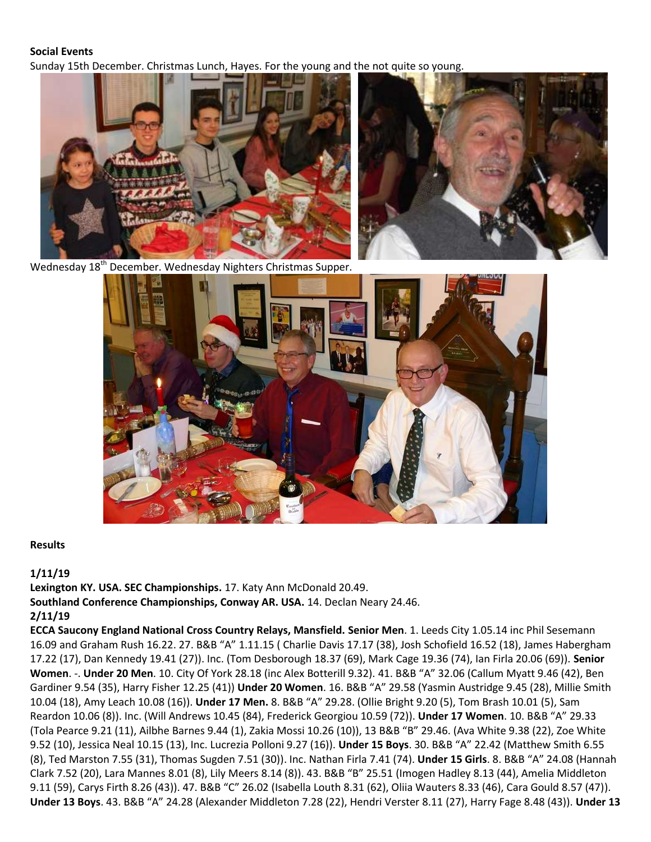### **Social Events**

Sunday 15th December. Christmas Lunch, Hayes. For the young and the not quite so young.



Wednesday 18<sup>th</sup> December. Wednesday Nighters Christmas Supper.



### **Results**

### **1/11/19**

**Lexington KY. USA. SEC Championships.** 17. Katy Ann McDonald 20.49.

**Southland Conference Championships, Conway AR. USA.** 14. Declan Neary 24.46.

### **2/11/19**

**ECCA Saucony England National Cross Country Relays, Mansfield. Senior Men**. 1. Leeds City 1.05.14 inc Phil Sesemann 16.09 and Graham Rush 16.22. 27. B&B "A" 1.11.15 ( Charlie Davis 17.17 (38), Josh Schofield 16.52 (18), James Habergham 17.22 (17), Dan Kennedy 19.41 (27)). Inc. (Tom Desborough 18.37 (69), Mark Cage 19.36 (74), Ian Firla 20.06 (69)). **Senior Women**. -. **Under 20 Men**. 10. City Of York 28.18 (inc Alex Botterill 9.32). 41. B&B "A" 32.06 (Callum Myatt 9.46 (42), Ben Gardiner 9.54 (35), Harry Fisher 12.25 (41)) **Under 20 Women**. 16. B&B "A" 29.58 (Yasmin Austridge 9.45 (28), Millie Smith 10.04 (18), Amy Leach 10.08 (16)). **Under 17 Men.** 8. B&B "A" 29.28. (Ollie Bright 9.20 (5), Tom Brash 10.01 (5), Sam Reardon 10.06 (8)). Inc. (Will Andrews 10.45 (84), Frederick Georgiou 10.59 (72)). **Under 17 Women**. 10. B&B "A" 29.33 (Tola Pearce 9.21 (11), Ailbhe Barnes 9.44 (1), Zakia Mossi 10.26 (10)), 13 B&B "B" 29.46. (Ava White 9.38 (22), Zoe White 9.52 (10), Jessica Neal 10.15 (13), Inc. Lucrezia Polloni 9.27 (16)). **Under 15 Boys**. 30. B&B "A" 22.42 (Matthew Smith 6.55 (8), Ted Marston 7.55 (31), Thomas Sugden 7.51 (30)). Inc. Nathan Firla 7.41 (74). **Under 15 Girls**. 8. B&B "A" 24.08 (Hannah Clark 7.52 (20), Lara Mannes 8.01 (8), Lily Meers 8.14 (8)). 43. B&B "B" 25.51 (Imogen Hadley 8.13 (44), Amelia Middleton 9.11 (59), Carys Firth 8.26 (43)). 47. B&B "C" 26.02 (Isabella Louth 8.31 (62), Oliia Wauters 8.33 (46), Cara Gould 8.57 (47)). **Under 13 Boys**. 43. B&B "A" 24.28 (Alexander Middleton 7.28 (22), Hendri Verster 8.11 (27), Harry Fage 8.48 (43)). **Under 13**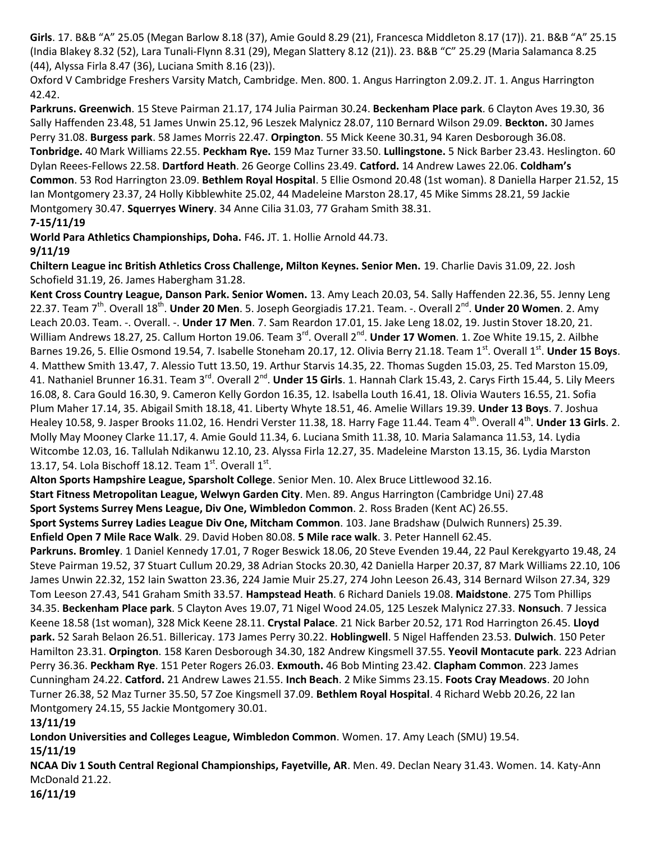**Girls**. 17. B&B "A" 25.05 (Megan Barlow 8.18 (37), Amie Gould 8.29 (21), Francesca Middleton 8.17 (17)). 21. B&B "A" 25.15 (India Blakey 8.32 (52), Lara Tunali-Flynn 8.31 (29), Megan Slattery 8.12 (21)). 23. B&B "C" 25.29 (Maria Salamanca 8.25 (44), Alyssa Firla 8.47 (36), Luciana Smith 8.16 (23)).

Oxford V Cambridge Freshers Varsity Match, Cambridge. Men. 800. 1. Angus Harrington 2.09.2. JT. 1. Angus Harrington 42.42.

**Parkruns. Greenwich**. 15 Steve Pairman 21.17, 174 Julia Pairman 30.24. **Beckenham Place park**. 6 Clayton Aves 19.30, 36 Sally Haffenden 23.48, 51 James Unwin 25.12, 96 Leszek Malynicz 28.07, 110 Bernard Wilson 29.09. **Beckton.** 30 James Perry 31.08. **Burgess park**. 58 James Morris 22.47. **Orpington**. 55 Mick Keene 30.31, 94 Karen Desborough 36.08. **Tonbridge.** 40 Mark Williams 22.55. **Peckham Rye.** 159 Maz Turner 33.50. **Lullingstone.** 5 Nick Barber 23.43. Heslington. 60 Dylan Reees-Fellows 22.58. **Dartford Heath**. 26 George Collins 23.49. **Catford.** 14 Andrew Lawes 22.06. **Coldham's Common**. 53 Rod Harrington 23.09. **Bethlem Royal Hospital**. 5 Ellie Osmond 20.48 (1st woman). 8 Daniella Harper 21.52, 15 Ian Montgomery 23.37, 24 Holly Kibblewhite 25.02, 44 Madeleine Marston 28.17, 45 Mike Simms 28.21, 59 Jackie Montgomery 30.47. **Squerryes Winery**. 34 Anne Cilia 31.03, 77 Graham Smith 38.31.

### **7-15/11/19**

**World Para Athletics Championships, Doha.** F46**.** JT. 1. Hollie Arnold 44.73.

### **9/11/19**

**Chiltern League inc British Athletics Cross Challenge, Milton Keynes. Senior Men.** 19. Charlie Davis 31.09, 22. Josh Schofield 31.19, 26. James Habergham 31.28.

**Kent Cross Country League, Danson Park. Senior Women.** 13. Amy Leach 20.03, 54. Sally Haffenden 22.36, 55. Jenny Leng 22.37. Team 7<sup>th</sup>. Overall 18<sup>th</sup>. **Under 20 Men**. 5. Joseph Georgiadis 17.21. Team. -. Overall 2<sup>nd</sup>. **Under 20 Women**. 2. Amy Leach 20.03. Team. -. Overall. -. **Under 17 Men**. 7. Sam Reardon 17.01, 15. Jake Leng 18.02, 19. Justin Stover 18.20, 21. William Andrews 18.27, 25. Callum Horton 19.06. Team 3<sup>rd</sup>. Overall 2<sup>nd</sup>. **Under 17 Women**. 1. Zoe White 19.15, 2. Ailbhe Barnes 19.26, 5. Ellie Osmond 19.54, 7. Isabelle Stoneham 20.17, 12. Olivia Berry 21.18. Team 1<sup>st</sup>. Overall 1<sup>st</sup>. Under 15 Boys. 4. Matthew Smith 13.47, 7. Alessio Tutt 13.50, 19. Arthur Starvis 14.35, 22. Thomas Sugden 15.03, 25. Ted Marston 15.09, 41. Nathaniel Brunner 16.31. Team 3<sup>rd</sup>. Overall 2<sup>nd</sup>. **Under 15 Girls**. 1. Hannah Clark 15.43, 2. Carys Firth 15.44, 5. Lily Meers 16.08, 8. Cara Gould 16.30, 9. Cameron Kelly Gordon 16.35, 12. Isabella Louth 16.41, 18. Olivia Wauters 16.55, 21. Sofia Plum Maher 17.14, 35. Abigail Smith 18.18, 41. Liberty Whyte 18.51, 46. Amelie Willars 19.39. **Under 13 Boys**. 7. Joshua Healey 10.58, 9. Jasper Brooks 11.02, 16. Hendri Verster 11.38, 18. Harry Fage 11.44. Team 4<sup>th</sup>. Overall 4<sup>th</sup>. **Under 13 Girls**. 2. Molly May Mooney Clarke 11.17, 4. Amie Gould 11.34, 6. Luciana Smith 11.38, 10. Maria Salamanca 11.53, 14. Lydia Witcombe 12.03, 16. Tallulah Ndikanwu 12.10, 23. Alyssa Firla 12.27, 35. Madeleine Marston 13.15, 36. Lydia Marston 13.17, 54. Lola Bischoff 18.12. Team  $1<sup>st</sup>$ . Overall  $1<sup>st</sup>$ .

**Alton Sports Hampshire League, Sparsholt College**. Senior Men. 10. Alex Bruce Littlewood 32.16.

**Start Fitness Metropolitan League, Welwyn Garden City**. Men. 89. Angus Harrington (Cambridge Uni) 27.48

**Sport Systems Surrey Mens League, Div One, Wimbledon Common**. 2. Ross Braden (Kent AC) 26.55.

**Sport Systems Surrey Ladies League Div One, Mitcham Common**. 103. Jane Bradshaw (Dulwich Runners) 25.39.

**Enfield Open 7 Mile Race Walk**. 29. David Hoben 80.08. **5 Mile race walk**. 3. Peter Hannell 62.45.

**Parkruns. Bromley**. 1 Daniel Kennedy 17.01, 7 Roger Beswick 18.06, 20 Steve Evenden 19.44, 22 Paul Kerekgyarto 19.48, 24 Steve Pairman 19.52, 37 Stuart Cullum 20.29, 38 Adrian Stocks 20.30, 42 Daniella Harper 20.37, 87 Mark Williams 22.10, 106 James Unwin 22.32, 152 Iain Swatton 23.36, 224 Jamie Muir 25.27, 274 John Leeson 26.43, 314 Bernard Wilson 27.34, 329 Tom Leeson 27.43, 541 Graham Smith 33.57. **Hampstead Heath**. 6 Richard Daniels 19.08. **Maidstone**. 275 Tom Phillips 34.35. **Beckenham Place park**. 5 Clayton Aves 19.07, 71 Nigel Wood 24.05, 125 Leszek Malynicz 27.33. **Nonsuch**. 7 Jessica Keene 18.58 (1st woman), 328 Mick Keene 28.11. **Crystal Palace**. 21 Nick Barber 20.52, 171 Rod Harrington 26.45. **Lloyd park.** 52 Sarah Belaon 26.51. Billericay. 173 James Perry 30.22. **Hoblingwell**. 5 Nigel Haffenden 23.53. **Dulwich**. 150 Peter Hamilton 23.31. **Orpington**. 158 Karen Desborough 34.30, 182 Andrew Kingsmell 37.55. **Yeovil Montacute park**. 223 Adrian Perry 36.36. **Peckham Rye**. 151 Peter Rogers 26.03. **Exmouth.** 46 Bob Minting 23.42. **Clapham Common**. 223 James Cunningham 24.22. **Catford.** 21 Andrew Lawes 21.55. **Inch Beach**. 2 Mike Simms 23.15. **Foots Cray Meadows**. 20 John Turner 26.38, 52 Maz Turner 35.50, 57 Zoe Kingsmell 37.09. **Bethlem Royal Hospital**. 4 Richard Webb 20.26, 22 Ian Montgomery 24.15, 55 Jackie Montgomery 30.01.

# **13/11/19**

**London Universities and Colleges League, Wimbledon Common**. Women. 17. Amy Leach (SMU) 19.54. **15/11/19**

**NCAA Div 1 South Central Regional Championships, Fayetville, AR**. Men. 49. Declan Neary 31.43. Women. 14. Katy-Ann McDonald 21.22.

**16/11/19**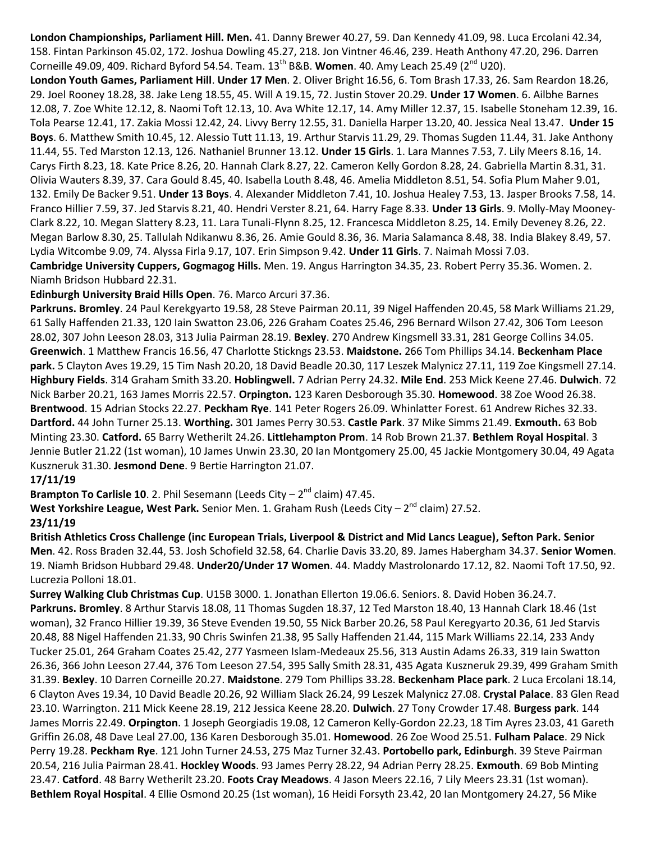**London Championships, Parliament Hill. Men.** 41. Danny Brewer 40.27, 59. Dan Kennedy 41.09, 98. Luca Ercolani 42.34, 158. Fintan Parkinson 45.02, 172. Joshua Dowling 45.27, 218. Jon Vintner 46.46, 239. Heath Anthony 47.20, 296. Darren Corneille 49.09, 409. Richard Byford 54.54. Team. 13<sup>th</sup> B&B. **Women**. 40. Amy Leach 25.49 (2<sup>nd</sup> U20).

**London Youth Games, Parliament Hill**. **Under 17 Men**. 2. Oliver Bright 16.56, 6. Tom Brash 17.33, 26. Sam Reardon 18.26, 29. Joel Rooney 18.28, 38. Jake Leng 18.55, 45. Will A 19.15, 72. Justin Stover 20.29. **Under 17 Women**. 6. Ailbhe Barnes 12.08, 7. Zoe White 12.12, 8. Naomi Toft 12.13, 10. Ava White 12.17, 14. Amy Miller 12.37, 15. Isabelle Stoneham 12.39, 16. Tola Pearse 12.41, 17. Zakia Mossi 12.42, 24. Livvy Berry 12.55, 31. Daniella Harper 13.20, 40. Jessica Neal 13.47. **Under 15 Boys**. 6. Matthew Smith 10.45, 12. Alessio Tutt 11.13, 19. Arthur Starvis 11.29, 29. Thomas Sugden 11.44, 31. Jake Anthony 11.44, 55. Ted Marston 12.13, 126. Nathaniel Brunner 13.12. **Under 15 Girls**. 1. Lara Mannes 7.53, 7. Lily Meers 8.16, 14. Carys Firth 8.23, 18. Kate Price 8.26, 20. Hannah Clark 8.27, 22. Cameron Kelly Gordon 8.28, 24. Gabriella Martin 8.31, 31. Olivia Wauters 8.39, 37. Cara Gould 8.45, 40. Isabella Louth 8.48, 46. Amelia Middleton 8.51, 54. Sofia Plum Maher 9.01, 132. Emily De Backer 9.51. **Under 13 Boys**. 4. Alexander Middleton 7.41, 10. Joshua Healey 7.53, 13. Jasper Brooks 7.58, 14. Franco Hillier 7.59, 37. Jed Starvis 8.21, 40. Hendri Verster 8.21, 64. Harry Fage 8.33. **Under 13 Girls**. 9. Molly-May Mooney-Clark 8.22, 10. Megan Slattery 8.23, 11. Lara Tunali-Flynn 8.25, 12. Francesca Middleton 8.25, 14. Emily Deveney 8.26, 22. Megan Barlow 8.30, 25. Tallulah Ndikanwu 8.36, 26. Amie Gould 8.36, 36. Maria Salamanca 8.48, 38. India Blakey 8.49, 57. Lydia Witcombe 9.09, 74. Alyssa Firla 9.17, 107. Erin Simpson 9.42. **Under 11 Girls**. 7. Naimah Mossi 7.03. **Cambridge University Cuppers, Gogmagog Hills.** Men. 19. Angus Harrington 34.35, 23. Robert Perry 35.36. Women. 2. Niamh Bridson Hubbard 22.31.

**Edinburgh University Braid Hills Open**. 76. Marco Arcuri 37.36.

**Parkruns. Bromley**. 24 Paul Kerekgyarto 19.58, 28 Steve Pairman 20.11, 39 Nigel Haffenden 20.45, 58 Mark Williams 21.29, 61 Sally Haffenden 21.33, 120 Iain Swatton 23.06, 226 Graham Coates 25.46, 296 Bernard Wilson 27.42, 306 Tom Leeson 28.02, 307 John Leeson 28.03, 313 Julia Pairman 28.19. **Bexley**. 270 Andrew Kingsmell 33.31, 281 George Collins 34.05. **Greenwich**. 1 Matthew Francis 16.56, 47 Charlotte Stickngs 23.53. **Maidstone.** 266 Tom Phillips 34.14. **Beckenham Place park.** 5 Clayton Aves 19.29, 15 Tim Nash 20.20, 18 David Beadle 20.30, 117 Leszek Malynicz 27.11, 119 Zoe Kingsmell 27.14. **Highbury Fields**. 314 Graham Smith 33.20. **Hoblingwell.** 7 Adrian Perry 24.32. **Mile End**. 253 Mick Keene 27.46. **Dulwich**. 72 Nick Barber 20.21, 163 James Morris 22.57. **Orpington.** 123 Karen Desborough 35.30. **Homewood**. 38 Zoe Wood 26.38. **Brentwood**. 15 Adrian Stocks 22.27. **Peckham Rye**. 141 Peter Rogers 26.09. Whinlatter Forest. 61 Andrew Riches 32.33. **Dartford.** 44 John Turner 25.13. **Worthing.** 301 James Perry 30.53. **Castle Park**. 37 Mike Simms 21.49. **Exmouth.** 63 Bob Minting 23.30. **Catford.** 65 Barry Wetherilt 24.26. **Littlehampton Prom**. 14 Rob Brown 21.37. **Bethlem Royal Hospital**. 3 Jennie Butler 21.22 (1st woman), 10 James Unwin 23.30, 20 Ian Montgomery 25.00, 45 Jackie Montgomery 30.04, 49 Agata Kuszneruk 31.30. **Jesmond Dene**. 9 Bertie Harrington 21.07.

### **17/11/19**

Brampton To Carlisle 10. 2. Phil Sesemann (Leeds City - 2<sup>nd</sup> claim) 47.45.

West Yorkshire League, West Park. Senior Men. 1. Graham Rush (Leeds City – 2<sup>nd</sup> claim) 27.52. **23/11/19**

**British Athletics Cross Challenge (inc European Trials, Liverpool & District and Mid Lancs League), Sefton Park. Senior Men**. 42. Ross Braden 32.44, 53. Josh Schofield 32.58, 64. Charlie Davis 33.20, 89. James Habergham 34.37. **Senior Women**. 19. Niamh Bridson Hubbard 29.48. **Under20/Under 17 Women**. 44. Maddy Mastrolonardo 17.12, 82. Naomi Toft 17.50, 92. Lucrezia Polloni 18.01.

**Surrey Walking Club Christmas Cup**. U15B 3000. 1. Jonathan Ellerton 19.06.6. Seniors. 8. David Hoben 36.24.7. **Parkruns. Bromley**. 8 Arthur Starvis 18.08, 11 Thomas Sugden 18.37, 12 Ted Marston 18.40, 13 Hannah Clark 18.46 (1st woman), 32 Franco Hillier 19.39, 36 Steve Evenden 19.50, 55 Nick Barber 20.26, 58 Paul Keregyarto 20.36, 61 Jed Starvis 20.48, 88 Nigel Haffenden 21.33, 90 Chris Swinfen 21.38, 95 Sally Haffenden 21.44, 115 Mark Williams 22.14, 233 Andy Tucker 25.01, 264 Graham Coates 25.42, 277 Yasmeen Islam-Medeaux 25.56, 313 Austin Adams 26.33, 319 Iain Swatton 26.36, 366 John Leeson 27.44, 376 Tom Leeson 27.54, 395 Sally Smith 28.31, 435 Agata Kuszneruk 29.39, 499 Graham Smith 31.39. **Bexley**. 10 Darren Corneille 20.27. **Maidstone**. 279 Tom Phillips 33.28. **Beckenham Place park**. 2 Luca Ercolani 18.14, 6 Clayton Aves 19.34, 10 David Beadle 20.26, 92 William Slack 26.24, 99 Leszek Malynicz 27.08. **Crystal Palace**. 83 Glen Read 23.10. Warrington. 211 Mick Keene 28.19, 212 Jessica Keene 28.20. **Dulwich**. 27 Tony Crowder 17.48. **Burgess park**. 144 James Morris 22.49. **Orpington**. 1 Joseph Georgiadis 19.08, 12 Cameron Kelly-Gordon 22.23, 18 Tim Ayres 23.03, 41 Gareth Griffin 26.08, 48 Dave Leal 27.00, 136 Karen Desborough 35.01. **Homewood**. 26 Zoe Wood 25.51. **Fulham Palace**. 29 Nick Perry 19.28. **Peckham Rye**. 121 John Turner 24.53, 275 Maz Turner 32.43. **Portobello park, Edinburgh**. 39 Steve Pairman 20.54, 216 Julia Pairman 28.41. **Hockley Woods**. 93 James Perry 28.22, 94 Adrian Perry 28.25. **Exmouth**. 69 Bob Minting 23.47. **Catford**. 48 Barry Wetherilt 23.20. **Foots Cray Meadows**. 4 Jason Meers 22.16, 7 Lily Meers 23.31 (1st woman). **Bethlem Royal Hospital**. 4 Ellie Osmond 20.25 (1st woman), 16 Heidi Forsyth 23.42, 20 Ian Montgomery 24.27, 56 Mike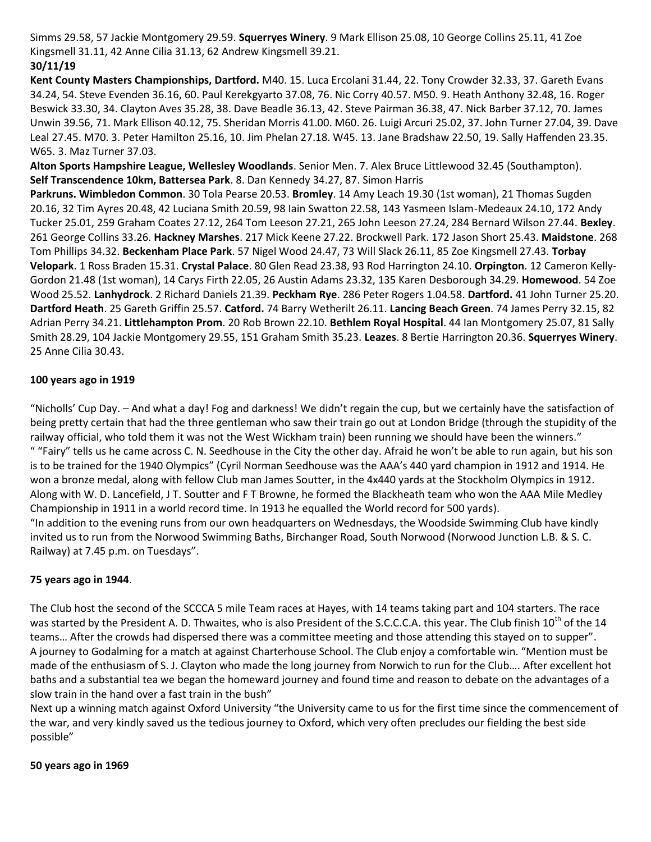Simms 29.58, 57 Jackie Montgomery 29.59. **Squerryes Winery**. 9 Mark Ellison 25.08, 10 George Collins 25.11, 41 Zoe Kingsmell 31.11, 42 Anne Cilia 31.13, 62 Andrew Kingsmell 39.21. **30/11/19**

**Kent County Masters Championships, Dartford.** M40. 15. Luca Ercolani 31.44, 22. Tony Crowder 32.33, 37. Gareth Evans 34.24, 54. Steve Evenden 36.16, 60. Paul Kerekgyarto 37.08, 76. Nic Corry 40.57. M50. 9. Heath Anthony 32.48, 16. Roger Beswick 33.30, 34. Clayton Aves 35.28, 38. Dave Beadle 36.13, 42. Steve Pairman 36.38, 47. Nick Barber 37.12, 70. James Unwin 39.56, 71. Mark Ellison 40.12, 75. Sheridan Morris 41.00. M60. 26. Luigi Arcuri 25.02, 37. John Turner 27.04, 39. Dave Leal 27.45. M70. 3. Peter Hamilton 25.16, 10. Jim Phelan 27.18. W45. 13. Jane Bradshaw 22.50, 19. Sally Haffenden 23.35. W65. 3. Maz Turner 37.03.

**Alton Sports Hampshire League, Wellesley Woodlands**. Senior Men. 7. Alex Bruce Littlewood 32.45 (Southampton). **Self Transcendence 10km, Battersea Park**. 8. Dan Kennedy 34.27, 87. Simon Harris

**Parkruns. Wimbledon Common**. 30 Tola Pearse 20.53. **Bromley**. 14 Amy Leach 19.30 (1st woman), 21 Thomas Sugden 20.16, 32 Tim Ayres 20.48, 42 Luciana Smith 20.59, 98 Iain Swatton 22.58, 143 Yasmeen Islam-Medeaux 24.10, 172 Andy Tucker 25.01, 259 Graham Coates 27.12, 264 Tom Leeson 27.21, 265 John Leeson 27.24, 284 Bernard Wilson 27.44. **Bexley**. 261 George Collins 33.26. **Hackney Marshes**. 217 Mick Keene 27.22. Brockwell Park. 172 Jason Short 25.43. **Maidstone**. 268 Tom Phillips 34.32. **Beckenham Place Park**. 57 Nigel Wood 24.47, 73 Will Slack 26.11, 85 Zoe Kingsmell 27.43. **Torbay Velopark**. 1 Ross Braden 15.31. **Crystal Palace**. 80 Glen Read 23.38, 93 Rod Harrington 24.10. **Orpington**. 12 Cameron Kelly-Gordon 21.48 (1st woman), 14 Carys Firth 22.05, 26 Austin Adams 23.32, 135 Karen Desborough 34.29. **Homewood**. 54 Zoe Wood 25.52. **Lanhydrock**. 2 Richard Daniels 21.39. **Peckham Rye**. 286 Peter Rogers 1.04.58. **Dartford.** 41 John Turner 25.20. **Dartford Heath**. 25 Gareth Griffin 25.57. **Catford.** 74 Barry Wetherilt 26.11. **Lancing Beach Green**. 74 James Perry 32.15, 82 Adrian Perry 34.21. **Littlehampton Prom**. 20 Rob Brown 22.10. **Bethlem Royal Hospital**. 44 Ian Montgomery 25.07, 81 Sally Smith 28.29, 104 Jackie Montgomery 29.55, 151 Graham Smith 35.23. **Leazes**. 8 Bertie Harrington 20.36. **Squerryes Winery**. 25 Anne Cilia 30.43.

### **100 years ago in 1919**

"Nicholls' Cup Day. – And what a day! Fog and darkness! We didn't regain the cup, but we certainly have the satisfaction of being pretty certain that had the three gentleman who saw their train go out at London Bridge (through the stupidity of the railway official, who told them it was not the West Wickham train) been running we should have been the winners." " "Fairy" tells us he came across C. N. Seedhouse in the City the other day. Afraid he won't be able to run again, but his son is to be trained for the 1940 Olympics" (Cyril Norman Seedhouse was the AAA's 440 yard champion in 1912 and 1914. He won a bronze medal, along with fellow Club man James Soutter, in the 4x440 yards at the Stockholm Olympics in 1912. Along with W. D. Lancefield, J T. Soutter and F T Browne, he formed the Blackheath team who won the AAA Mile Medley Championship in 1911 in a world record time. In 1913 he equalled the World record for 500 yards). "In addition to the evening runs from our own headquarters on Wednesdays, the Woodside Swimming Club have kindly invited us to run from the Norwood Swimming Baths, Birchanger Road, South Norwood (Norwood Junction L.B. & S. C. Railway) at 7.45 p.m. on Tuesdays".

### **75 years ago in 1944**.

The Club host the second of the SCCCA 5 mile Team races at Hayes, with 14 teams taking part and 104 starters. The race was started by the President A. D. Thwaites, who is also President of the S.C.C.C.A. this year. The Club finish 10<sup>th</sup> of the 14 teams… After the crowds had dispersed there was a committee meeting and those attending this stayed on to supper". A journey to Godalming for a match at against Charterhouse School. The Club enjoy a comfortable win. "Mention must be made of the enthusiasm of S. J. Clayton who made the long journey from Norwich to run for the Club…. After excellent hot baths and a substantial tea we began the homeward journey and found time and reason to debate on the advantages of a slow train in the hand over a fast train in the bush"

Next up a winning match against Oxford University "the University came to us for the first time since the commencement of the war, and very kindly saved us the tedious journey to Oxford, which very often precludes our fielding the best side possible"

### **50 years ago in 1969**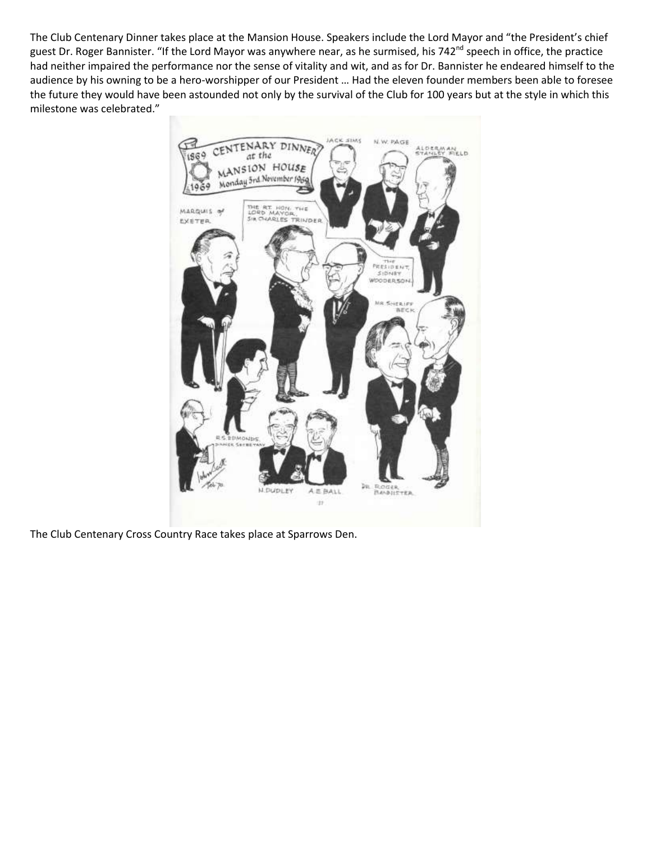The Club Centenary Dinner takes place at the Mansion House. Speakers include the Lord Mayor and "the President's chief guest Dr. Roger Bannister. "If the Lord Mayor was anywhere near, as he surmised, his 742<sup>nd</sup> speech in office, the practice had neither impaired the performance nor the sense of vitality and wit, and as for Dr. Bannister he endeared himself to the audience by his owning to be a hero-worshipper of our President … Had the eleven founder members been able to foresee the future they would have been astounded not only by the survival of the Club for 100 years but at the style in which this milestone was celebrated."



The Club Centenary Cross Country Race takes place at Sparrows Den.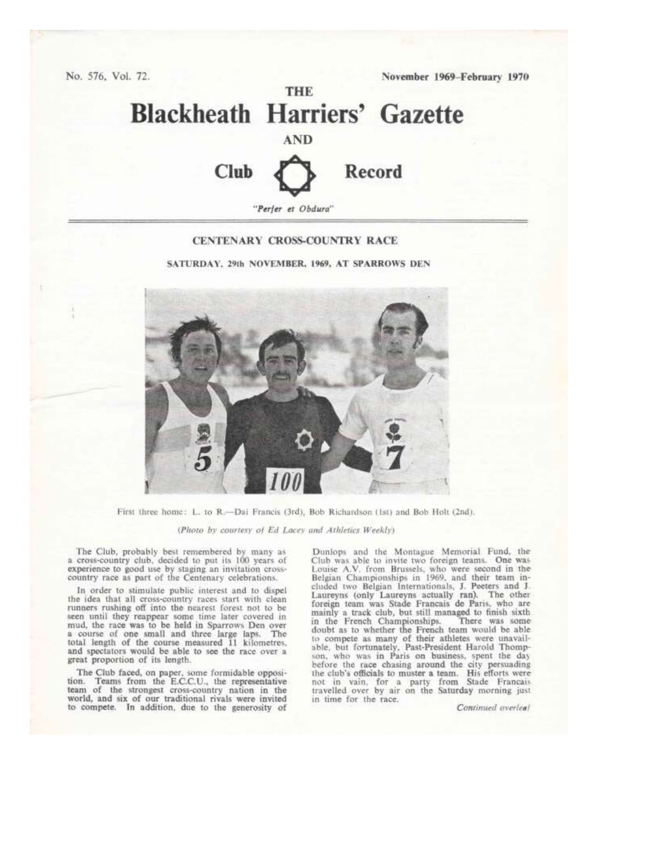No. 576, Vol. 72.

November 1969-February 1970



Club **Record** 

"Perfer et Obdura"

#### CENTENARY CROSS-COUNTRY RACE

SATURDAY, 29th NOVEMBER, 1969, AT SPARROWS DEN



First three home: L. to R.--Dai Francis (3rd), Bob Richardson (1st) and Bob Holt (2nd).

(Photo by courtesy of Ed Lacey and Athletics Weekly)

The Club, probably best remembered by many as a cross-country club, decided to put its 100 years of experience to good use by staging an invitation crosscountry race as part of the Centenary celebrations.

In order to stimulate public interest and to dispel the idea that all cross-country races start with clean runners rushing off into the nearest forest not to be seen until they reappear some time later covered in<br>mud, the race was to be held in Sparrows Den over<br>a course of one small and three large laps. The<br>total length of the course measured 11 kilometres, and spectators would be able to see the race over a great proportion of its length.

The Club faced, on paper, some formidable opposition. Teams from the E.C.C.U., the representative team of the strongest cross-country nation in the world, and six of our traditional rivals were invited to compete. In addition, due to the generosity of

Dunlops and the Montague Memorial Fund, the Club was able to invite two foreign teams. One was Louise A.V. from Brussels, who were second in the Belgian Championships in 1969, and their team included two Belgian Internationals, J. Peeters and J. Laureyns (only Laureyns actually ran). The other foreign team was Stade Francais de Paris, who are mainly a track club, but still managed to finish sixth<br>in the French Championships. There was some doubt as to whether the French team would be able<br>to compete as many of their athletes were unavailable, but fortunately, Past-President Harold Thompson, who was in Paris on business, spent the day before the race chasing around the city persuading the club's officials to muster a team. His efforts were<br>not in vain, for a party from Stade Francais travelled over by air on the Saturday morning just in time for the race.

Continued overleaf.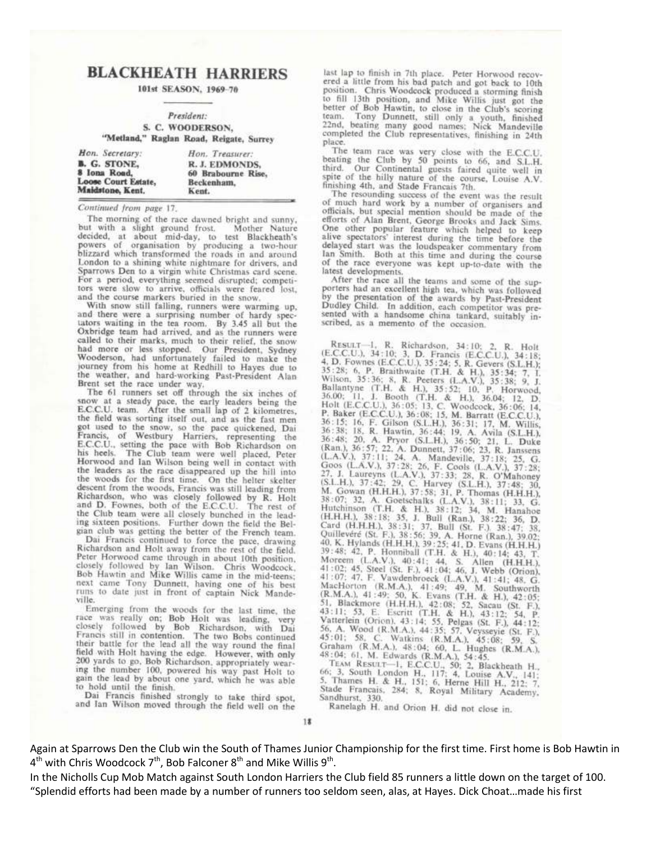# **BLACKHEATH HARRIERS**

101st SEASON, 1969-70

#### President: S. C. WOODERSON. "Metland," Raglan Road, Reigate, Surrey

Hon. Secretary: Hon. Treasurer: B. G. STONE, R.J. EDMONDS, 8 Iona Road, 60 Brabourne Rise, **Loose Court Estate,** Beckenham,

Continued from page 17.

Maidstone, Kent.

The morning of the race dawned bright and sunny. but with a slight ground frost. Mother Nature decided, at about mid-day, to test Blackheath's<br>powers of organisation by producing a two-hour<br>blizzard which transformed the roads in and around London to a shining white nightmare for drivers, and Sparrows Den to a virgin white Christmas card scene. For a period, everything seemed disrupted; competitors were slow to arrive, officials were feared lost, and the course markers buried in the snow.

Kent.

With snow still falling, runners were warming up, and there were a surprising number of hardy spectators waiting in the tea room. By 3.45 all but the Oxbridge team had arrived, and as the runners were<br>called to their marks, much to their relief, the snow had more or less stopped. Our President, Sydney Wooderson, had unfortunately failed to make the journey from his home at Redhill to Hayes due to the weather, and hard-working Past-President Alan Brent set the race under way.

The 61 runners set off through the six inches of snow at a steady pace, the early leaders being the E.C.C.U. team. After the small lap of 2 kilometres, the field was sorting itself out, and as the fast men the neuron so the pace quickened, Dai<br>pat used to the snow, so the pace quickened, Dai<br>Francis, of Westbury Harriers, representing the<br>E.C.C.U., setting the pace with Bob Richardson on<br>his heels. The Club team were well pl Horwood and Ian Wilson being well in contact with the leaders as the race disappeared up the hill into the woods for the first time. On the helter skelter descent from the woods, Francis was still leading from<br>Richardson, who was closely followed by R. Holt<br>Richardson, who was closely followed by R. Holt<br>and D. Fownes, both of the E.C.C.U. The rest of<br>the Club team were all

Dai Francis continued to force the pace, drawing Richardson and Holt away from the rest of the field. Peter Horwood came through in about 10th position. closely followed by Ian Wilson. Chris Woodcock, Bob Hawtin and Mike Willis came in the mid-teens: next came Tony Dunnett, having one of his best runs to date just in front of captain Nick Mandeville.

Fine the woods for the last time, the<br>race was really on; Bob Holt was leading, very<br>closely followed by Bob Richardson, with Dai<br>Francis still in contention. The two Bobs continued<br>their battle for the lead all the way ro field with Holt having the edge. However, with only 200 yards to go, Bob Richardson, appropriately wearing the number 100, powered his way past Holt to gain the lead by about one yard, which he was able to hold until the finish.

Dai Francis finished strongly to take third spot, and Ian Wilson moved through the field well on the

last lap to finish in 7th place. Peter Horwood recovered a little from his bad patch and got back to 10th position. Chris Woodcock produced a storming finish<br>to fill 13th position, and Mike Willis just got the better of Bob Hawtin, to close in the Club's scoring<br>team. Tony Dunnett, still only a youth, finished<br>22nd, beating many good names; Nick Mandeville completed the Club representatives, finishing in 24th place.

The team race was very close with the E.C.C.U.<br>beating the Club by 50 points to 66, and S.L.H. third. Our Continental guests faired quite well in<br>spite of the hilly nature of the course, Louise A.V.<br>finishing 4th, and Stade Francais 7th.

The resounding success of the event was the result of much hard work by a number of organisers and officials, but special mention should be made of the efforts of Alan Brent, George Brooks and Jack Sims.<br>One other popular feature which helped to keep alive spectators' interest during the time before the delayed start was the loudspeaker commentary from lan Smith. Both at this time and during the course of the race everyone was kept up-to-date with the latest developments.

After the race all the teams and some of the supporters had an excellent high tea, which was followed by the presentation of the awards by Past-President Dudley Child. In addition, each competitor was presented with a handsome china tankard, suitably in-

RESULT-1, R. Richardson, 34:10: 2, R. Holt (E.C.C.U.), 34:10; 3, D. Francis (E.C.C.U.), 34:18; 4, D. Fownes (E.C.C.U.), 35:24; 5, R. Gevers (S.L.H.); 35:28; 6, P. Braithwaite (T.H. & H.), 35:34; 7, T. Wilson, 35:36; 8, R. 36:15; 16, F. Gilson (S.L.H.), 36:31; 17, M. Willis, 36:38; 18, R. Hawtin, 36:44; 19, A. Avila (S.L.H.), 36:15; 16, F. Gilson (S.L.H.), 36:31; 17, M. Willis, 36:38; 18, R. Hawin, 36:48; 20, A. Pryor (S.L.H.), 36:50; 17, M. Willis, 36:48; 20, A. Pryor (S.L.H.), 36:50; 21, L. Duke (Ran.), 36:57; 22, A. Damnett, 37:06; 23, R. Ja

Stade Francais, 284; 8, Royal Military Academy, Sandhurst, 330.

Ranelagh H. and Orion H. did not close in.

18

Again at Sparrows Den the Club win the South of Thames Junior Championship for the first time. First home is Bob Hawtin in 4<sup>th</sup> with Chris Woodcock 7<sup>th</sup>, Bob Falconer 8<sup>th</sup> and Mike Willis 9<sup>th</sup>.

In the Nicholls Cup Mob Match against South London Harriers the Club field 85 runners a little down on the target of 100. "Splendid efforts had been made by a number of runners too seldom seen, alas, at Hayes. Dick Choat...made his first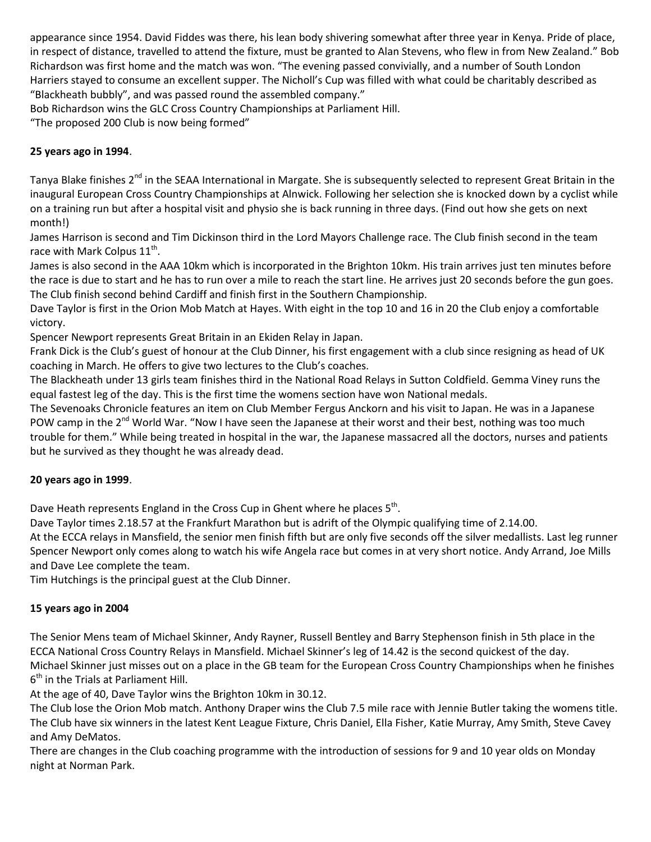appearance since 1954. David Fiddes was there, his lean body shivering somewhat after three year in Kenya. Pride of place, in respect of distance, travelled to attend the fixture, must be granted to Alan Stevens, who flew in from New Zealand." Bob Richardson was first home and the match was won. "The evening passed convivially, and a number of South London Harriers stayed to consume an excellent supper. The Nicholl's Cup was filled with what could be charitably described as "Blackheath bubbly", and was passed round the assembled company."

Bob Richardson wins the GLC Cross Country Championships at Parliament Hill.

"The proposed 200 Club is now being formed"

# **25 years ago in 1994**.

Tanya Blake finishes 2<sup>nd</sup> in the SEAA International in Margate. She is subsequently selected to represent Great Britain in the inaugural European Cross Country Championships at Alnwick. Following her selection she is knocked down by a cyclist while on a training run but after a hospital visit and physio she is back running in three days. (Find out how she gets on next month!)

James Harrison is second and Tim Dickinson third in the Lord Mayors Challenge race. The Club finish second in the team race with Mark Colpus  $11^{\text{th}}$ .

James is also second in the AAA 10km which is incorporated in the Brighton 10km. His train arrives just ten minutes before the race is due to start and he has to run over a mile to reach the start line. He arrives just 20 seconds before the gun goes. The Club finish second behind Cardiff and finish first in the Southern Championship.

Dave Taylor is first in the Orion Mob Match at Hayes. With eight in the top 10 and 16 in 20 the Club enjoy a comfortable victory.

Spencer Newport represents Great Britain in an Ekiden Relay in Japan.

Frank Dick is the Club's guest of honour at the Club Dinner, his first engagement with a club since resigning as head of UK coaching in March. He offers to give two lectures to the Club's coaches.

The Blackheath under 13 girls team finishes third in the National Road Relays in Sutton Coldfield. Gemma Viney runs the equal fastest leg of the day. This is the first time the womens section have won National medals.

The Sevenoaks Chronicle features an item on Club Member Fergus Anckorn and his visit to Japan. He was in a Japanese POW camp in the 2<sup>nd</sup> World War. "Now I have seen the Japanese at their worst and their best, nothing was too much trouble for them." While being treated in hospital in the war, the Japanese massacred all the doctors, nurses and patients but he survived as they thought he was already dead.

# **20 years ago in 1999**.

Dave Heath represents England in the Cross Cup in Ghent where he places  $5^{th}$ .

Dave Taylor times 2.18.57 at the Frankfurt Marathon but is adrift of the Olympic qualifying time of 2.14.00.

At the ECCA relays in Mansfield, the senior men finish fifth but are only five seconds off the silver medallists. Last leg runner Spencer Newport only comes along to watch his wife Angela race but comes in at very short notice. Andy Arrand, Joe Mills and Dave Lee complete the team.

Tim Hutchings is the principal guest at the Club Dinner.

# **15 years ago in 2004**

The Senior Mens team of Michael Skinner, Andy Rayner, Russell Bentley and Barry Stephenson finish in 5th place in the ECCA National Cross Country Relays in Mansfield. Michael Skinner's leg of 14.42 is the second quickest of the day. Michael Skinner just misses out on a place in the GB team for the European Cross Country Championships when he finishes  $6<sup>th</sup>$  in the Trials at Parliament Hill.

At the age of 40, Dave Taylor wins the Brighton 10km in 30.12.

The Club lose the Orion Mob match. Anthony Draper wins the Club 7.5 mile race with Jennie Butler taking the womens title. The Club have six winners in the latest Kent League Fixture, Chris Daniel, Ella Fisher, Katie Murray, Amy Smith, Steve Cavey and Amy DeMatos.

There are changes in the Club coaching programme with the introduction of sessions for 9 and 10 year olds on Monday night at Norman Park.